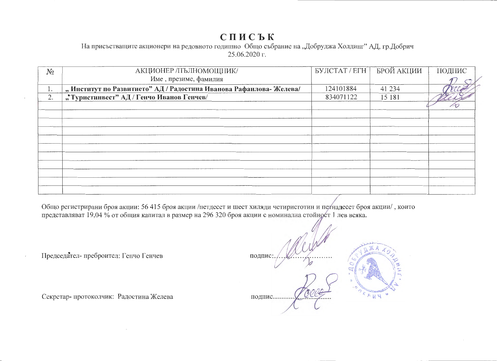## СПИСЬК

На присъстващите акционери на редовното годишно Общо събрание на "Добруджа Холдинг" АД, гр.Добрич 25.06.2020 г.

| $N_2$ | АКЦИОНЕР /ПЪЛНОМОЩНИК/                                            | БУЛСТАТ / ЕГН | БРОЙ АКЦИИ | ПОДПИС |
|-------|-------------------------------------------------------------------|---------------|------------|--------|
|       | Име, презиме, фамилия                                             |               |            |        |
| 1.    | "Институт по Развитието" АД / Радостина Иванова Рафаилова-Желева/ | 124101884     | 41 234     |        |
| 2.    | "• Туристинвест" АД / Генчо Иванов Генчев/                        | 834071122     | 15 18 1    |        |
|       |                                                                   |               |            |        |
|       |                                                                   |               |            |        |
|       |                                                                   |               |            |        |
|       |                                                                   |               |            |        |
|       |                                                                   |               |            |        |
|       |                                                                   |               |            |        |
|       |                                                                   |               |            |        |
|       |                                                                   |               |            |        |
|       |                                                                   |               |            |        |
|       |                                                                   |               |            |        |
|       |                                                                   |               |            |        |

Общо регистрирани броя акции: 56 415 броя акции /петдесет и шест хиляди четиристотин и петнадесет броя акции/, които представляват 19,04 % от общия капитал в размер на 296 320 броя акции с номинална стойност 1 лев всяка.

Председател-преброител: Генчо Генчев

Секретар-протоколчик: Радостина Желева

подпис подпис........... 运马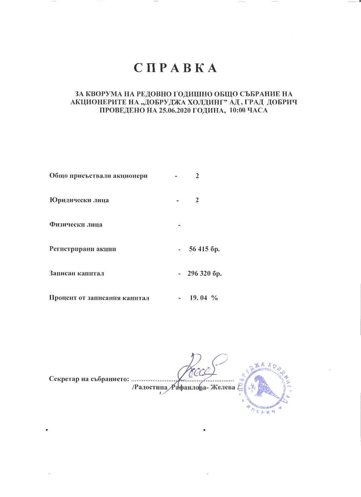# **CHPABKA**

## ЗА КВОРУМА НА РЕДОВНО ГОДИШНО ОБЩО СЪБРАНИЕ НА АКЦИОНЕРИТЕ НА "ДОБРУДЖА ХОЛДИНГ" АД, ГРАД ДОБРИЧ ПРОВЕДЕНО НА 25.06.2020 ГОДИНА, 10:00 ЧАСА

| Общо присъствали акционери   | $\mathfrak{D}$ |
|------------------------------|----------------|
| Юридически лица              | $\overline{2}$ |
| Физически лица               |                |
| Регистрирани акции           | 56 415 6p.     |
| Записан капитал              | $-2963206p.$   |
| Процент от записания капитал | $19.04\%$      |

Радостина Рафаилова-Желева ORDER